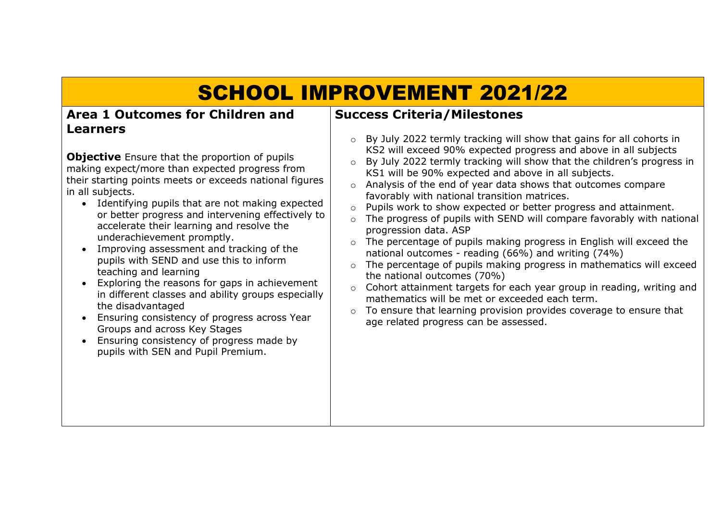## SCHOOL IMPROVEMENT 2021/22

## **Area 1 Outcomes for Children and Learners**

**Objective** Ensure that the proportion of pupils making expect/more than expected progress from their starting points meets or exceeds national figures in all subjects.

- Identifying pupils that are not making expected or better progress and intervening effectively to accelerate their learning and resolve the underachievement promptly.
- Improving assessment and tracking of the pupils with SEND and use this to inform teaching and learning
- Exploring the reasons for gaps in achievement in different classes and ability groups especially the disadvantaged
- Ensuring consistency of progress across Year Groups and across Key Stages
- Ensuring consistency of progress made by pupils with SEN and Pupil Premium.

## **Success Criteria/Milestones**

- o By July 2022 termly tracking will show that gains for all cohorts in KS2 will exceed 90% expected progress and above in all subjects
- o By July 2022 termly tracking will show that the children's progress in KS1 will be 90% expected and above in all subjects.
- o Analysis of the end of year data shows that outcomes compare favorably with national transition matrices.
- o Pupils work to show expected or better progress and attainment.
- o The progress of pupils with SEND will compare favorably with national progression data. ASP
- o The percentage of pupils making progress in English will exceed the national outcomes - reading (66%) and writing (74%)
- o The percentage of pupils making progress in mathematics will exceed the national outcomes (70%)
- o Cohort attainment targets for each year group in reading, writing and mathematics will be met or exceeded each term.
- $\circ$  To ensure that learning provision provides coverage to ensure that age related progress can be assessed.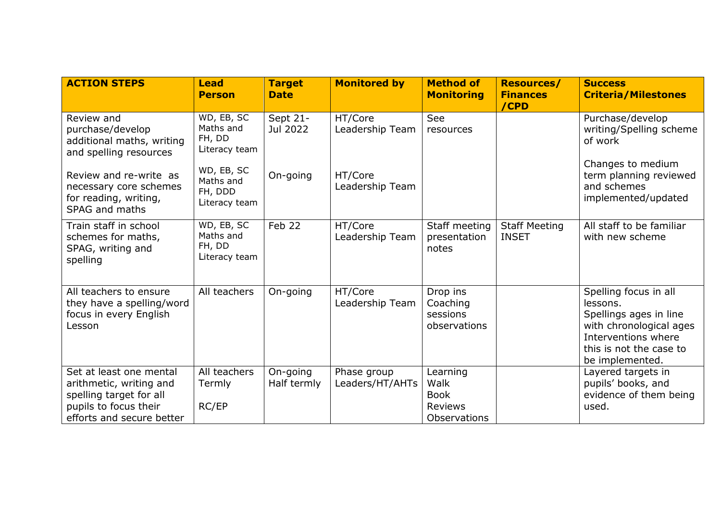| <b>ACTION STEPS</b>                                                                                                                 | <b>Lead</b><br><b>Person</b>                        | <b>Target</b><br><b>Date</b> | <b>Monitored by</b>            | <b>Method of</b><br><b>Monitoring</b>                                    | <b>Resources/</b><br><b>Finances</b><br>/CPD | <b>Success</b><br><b>Criteria/Milestones</b>                                                                                                                |
|-------------------------------------------------------------------------------------------------------------------------------------|-----------------------------------------------------|------------------------------|--------------------------------|--------------------------------------------------------------------------|----------------------------------------------|-------------------------------------------------------------------------------------------------------------------------------------------------------------|
| Review and<br>purchase/develop<br>additional maths, writing<br>and spelling resources                                               | WD, EB, SC<br>Maths and<br>FH, DD<br>Literacy team  | Sept 21-<br>Jul 2022         | HT/Core<br>Leadership Team     | See<br>resources                                                         |                                              | Purchase/develop<br>writing/Spelling scheme<br>of work                                                                                                      |
| Review and re-write as<br>necessary core schemes<br>for reading, writing,<br><b>SPAG and maths</b>                                  | WD, EB, SC<br>Maths and<br>FH, DDD<br>Literacy team | On-going                     | HT/Core<br>Leadership Team     |                                                                          |                                              | Changes to medium<br>term planning reviewed<br>and schemes<br>implemented/updated                                                                           |
| Train staff in school<br>schemes for maths,<br>SPAG, writing and<br>spelling                                                        | WD, EB, SC<br>Maths and<br>FH, DD<br>Literacy team  | Feb 22                       | HT/Core<br>Leadership Team     | Staff meeting<br>presentation<br>notes                                   | <b>Staff Meeting</b><br><b>INSET</b>         | All staff to be familiar<br>with new scheme                                                                                                                 |
| All teachers to ensure<br>they have a spelling/word<br>focus in every English<br>Lesson                                             | All teachers                                        | On-going                     | HT/Core<br>Leadership Team     | Drop ins<br>Coaching<br>sessions<br>observations                         |                                              | Spelling focus in all<br>lessons.<br>Spellings ages in line<br>with chronological ages<br>Interventions where<br>this is not the case to<br>be implemented. |
| Set at least one mental<br>arithmetic, writing and<br>spelling target for all<br>pupils to focus their<br>efforts and secure better | All teachers<br>Termly<br>RC/EP                     | On-going<br>Half termly      | Phase group<br>Leaders/HT/AHTs | Learning<br>Walk<br><b>Book</b><br><b>Reviews</b><br><b>Observations</b> |                                              | Layered targets in<br>pupils' books, and<br>evidence of them being<br>used.                                                                                 |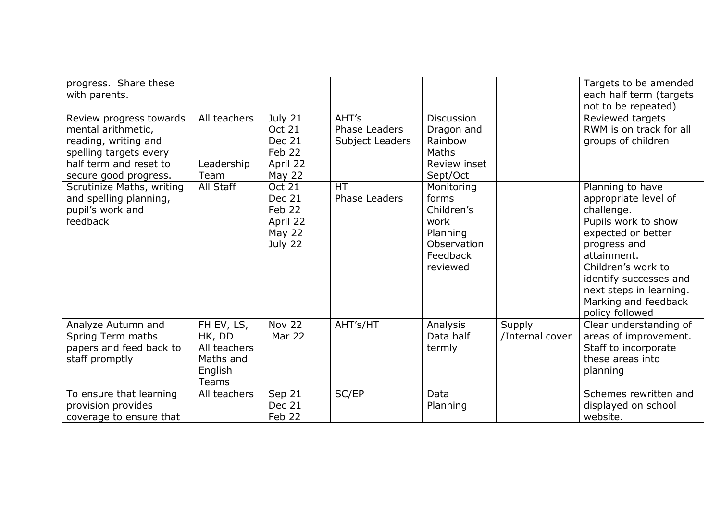| progress. Share these<br>with parents.                                                                                                             |                                                                       |                                                                           |                                           |                                                                                              |                           | Targets to be amended<br>each half term (targets<br>not to be repeated)                                                                                                                                                                                  |
|----------------------------------------------------------------------------------------------------------------------------------------------------|-----------------------------------------------------------------------|---------------------------------------------------------------------------|-------------------------------------------|----------------------------------------------------------------------------------------------|---------------------------|----------------------------------------------------------------------------------------------------------------------------------------------------------------------------------------------------------------------------------------------------------|
| Review progress towards<br>mental arithmetic,<br>reading, writing and<br>spelling targets every<br>half term and reset to<br>secure good progress. | All teachers<br>Leadership<br>Team                                    | July 21<br><b>Oct 21</b><br>Dec 21<br>Feb 22<br>April 22<br><b>May 22</b> | AHT's<br>Phase Leaders<br>Subject Leaders | <b>Discussion</b><br>Dragon and<br>Rainbow<br>Maths<br>Review inset<br>Sept/Oct              |                           | Reviewed targets<br>RWM is on track for all<br>groups of children                                                                                                                                                                                        |
| Scrutinize Maths, writing<br>and spelling planning,<br>pupil's work and<br>feedback                                                                | All Staff                                                             | <b>Oct 21</b><br>Dec 21<br>Feb 22<br>April 22<br><b>May 22</b><br>July 22 | <b>HT</b><br><b>Phase Leaders</b>         | Monitoring<br>forms<br>Children's<br>work<br>Planning<br>Observation<br>Feedback<br>reviewed |                           | Planning to have<br>appropriate level of<br>challenge.<br>Pupils work to show<br>expected or better<br>progress and<br>attainment.<br>Children's work to<br>identify successes and<br>next steps in learning.<br>Marking and feedback<br>policy followed |
| Analyze Autumn and<br>Spring Term maths<br>papers and feed back to<br>staff promptly                                                               | FH EV, LS,<br>HK, DD<br>All teachers<br>Maths and<br>English<br>Teams | <b>Nov 22</b><br>Mar 22                                                   | AHT's/HT                                  | Analysis<br>Data half<br>termly                                                              | Supply<br>/Internal cover | Clear understanding of<br>areas of improvement.<br>Staff to incorporate<br>these areas into<br>planning                                                                                                                                                  |
| To ensure that learning<br>provision provides<br>coverage to ensure that                                                                           | All teachers                                                          | Sep 21<br>Dec 21<br>Feb 22                                                | SC/EP                                     | Data<br>Planning                                                                             |                           | Schemes rewritten and<br>displayed on school<br>website.                                                                                                                                                                                                 |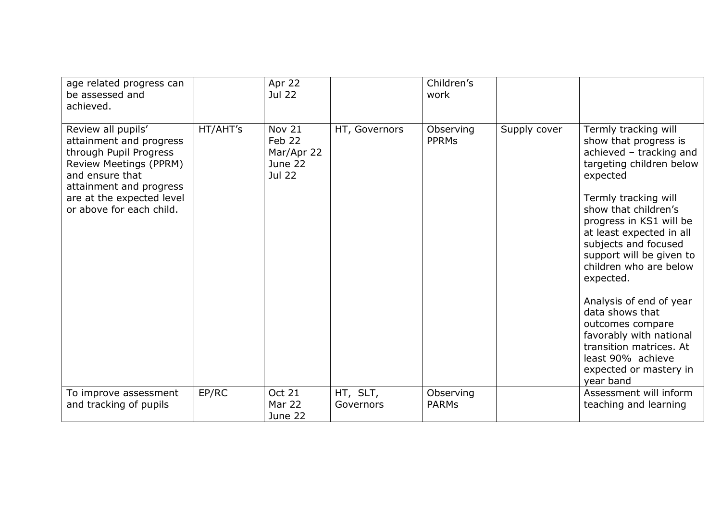| age related progress can<br>be assessed and<br>achieved.                                                                                                                                                 |          | Apr 22<br><b>Jul 22</b>                                    |                       | Children's<br>work        |              |                                                                                                                                                                                                                                                                                                                                                                                                                                                                                                        |
|----------------------------------------------------------------------------------------------------------------------------------------------------------------------------------------------------------|----------|------------------------------------------------------------|-----------------------|---------------------------|--------------|--------------------------------------------------------------------------------------------------------------------------------------------------------------------------------------------------------------------------------------------------------------------------------------------------------------------------------------------------------------------------------------------------------------------------------------------------------------------------------------------------------|
| Review all pupils'<br>attainment and progress<br>through Pupil Progress<br>Review Meetings (PPRM)<br>and ensure that<br>attainment and progress<br>are at the expected level<br>or above for each child. | HT/AHT's | Nov 21<br>Feb 22<br>Mar/Apr 22<br>June 22<br><b>Jul 22</b> | HT, Governors         | Observing<br><b>PPRMS</b> | Supply cover | Termly tracking will<br>show that progress is<br>achieved - tracking and<br>targeting children below<br>expected<br>Termly tracking will<br>show that children's<br>progress in KS1 will be<br>at least expected in all<br>subjects and focused<br>support will be given to<br>children who are below<br>expected.<br>Analysis of end of year<br>data shows that<br>outcomes compare<br>favorably with national<br>transition matrices. At<br>least 90% achieve<br>expected or mastery in<br>year band |
| To improve assessment<br>and tracking of pupils                                                                                                                                                          | EP/RC    | <b>Oct 21</b><br><b>Mar 22</b><br>June 22                  | HT, SLT,<br>Governors | Observing<br><b>PARMs</b> |              | Assessment will inform<br>teaching and learning                                                                                                                                                                                                                                                                                                                                                                                                                                                        |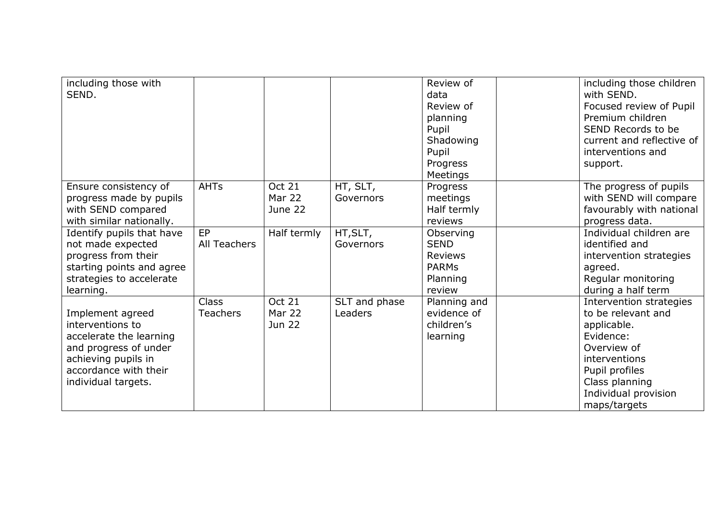| including those with<br>SEND.                                                                                                                                   |                                 |                                           |                          | Review of<br>data<br>Review of<br>planning<br>Pupil<br>Shadowing<br>Pupil<br>Progress | including those children<br>with SEND.<br>Focused review of Pupil<br>Premium children<br>SEND Records to be<br>current and reflective of<br>interventions and<br>support.             |
|-----------------------------------------------------------------------------------------------------------------------------------------------------------------|---------------------------------|-------------------------------------------|--------------------------|---------------------------------------------------------------------------------------|---------------------------------------------------------------------------------------------------------------------------------------------------------------------------------------|
| Ensure consistency of<br>progress made by pupils<br>with SEND compared<br>with similar nationally.                                                              | <b>AHTs</b>                     | <b>Oct 21</b><br><b>Mar 22</b><br>June 22 | HT, SLT,<br>Governors    | Meetings<br>Progress<br>meetings<br>Half termly<br>reviews                            | The progress of pupils<br>with SEND will compare<br>favourably with national<br>progress data.                                                                                        |
| Identify pupils that have<br>not made expected<br>progress from their<br>starting points and agree<br>strategies to accelerate<br>learning.                     | EP<br>All Teachers              | Half termly                               | HT, SLT,<br>Governors    | Observing<br><b>SEND</b><br><b>Reviews</b><br><b>PARMs</b><br>Planning<br>review      | Individual children are<br>identified and<br>intervention strategies<br>agreed.<br>Regular monitoring<br>during a half term                                                           |
| Implement agreed<br>interventions to<br>accelerate the learning<br>and progress of under<br>achieving pupils in<br>accordance with their<br>individual targets. | <b>Class</b><br><b>Teachers</b> | <b>Oct 21</b><br>Mar 22<br><b>Jun 22</b>  | SLT and phase<br>Leaders | Planning and<br>evidence of<br>children's<br>learning                                 | Intervention strategies<br>to be relevant and<br>applicable.<br>Evidence:<br>Overview of<br>interventions<br>Pupil profiles<br>Class planning<br>Individual provision<br>maps/targets |